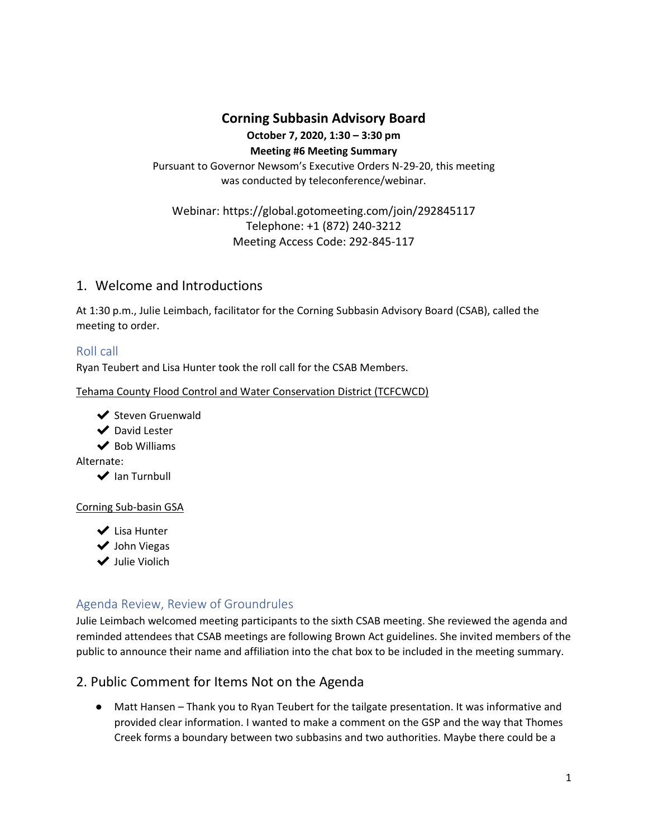# **Corning Subbasin Advisory Board**

#### **October 7, 2020, 1:30 – 3:30 pm**

**Meeting #6 Meeting Summary**

Pursuant to Governor Newsom's Executive Orders N-29-20, this meeting was conducted by teleconference/webinar.

Webinar[:](https://global.gotomeeting.com/join/292845117) <https://global.gotomeeting.com/join/292845117> Telephone: +1 (872) 240-3212 Meeting Access Code: 292-845-117

# 1. Welcome and Introductions

At 1:30 p.m., Julie Leimbach, facilitator for the Corning Subbasin Advisory Board (CSAB), called the meeting to order.

# Roll call

Ryan Teubert and Lisa Hunter took the roll call for the CSAB Members.

Tehama County Flood Control and Water Conservation District (TCFCWCD)

- **◆** Steven Gruenwald
- ◆ David Lester
- $\vee$  Bob Williams

Alternate:

**◆** Ian Turnbull

#### Corning Sub-basin GSA

- ◆ Lisa Hunter
- ◆ John Viegas
- ✔ Julie Violich

# Agenda Review, Review of Groundrules

Julie Leimbach welcomed meeting participants to the sixth CSAB meeting. She reviewed the agenda and reminded attendees that CSAB meetings are following Brown Act guidelines. She invited members of the public to announce their name and affiliation into the chat box to be included in the meeting summary.

# 2. Public Comment for Items Not on the Agenda

● Matt Hansen – Thank you to Ryan Teubert for the tailgate presentation. It was informative and provided clear information. I wanted to make a comment on the GSP and the way that Thomes Creek forms a boundary between two subbasins and two authorities. Maybe there could be a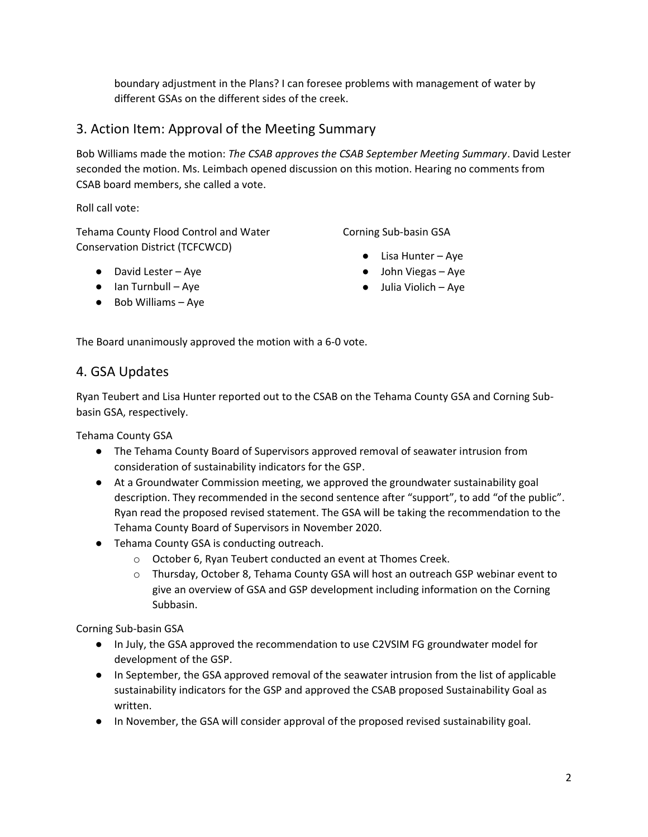boundary adjustment in the Plans? I can foresee problems with management of water by different GSAs on the different sides of the creek.

# 3. Action Item: Approval of the Meeting Summary

Bob Williams made the motion: *The CSAB approves the CSAB September Meeting Summary*. David Lester seconded the motion. Ms. Leimbach opened discussion on this motion. Hearing no comments from CSAB board members, she called a vote.

Roll call vote:

Tehama County Flood Control and Water Conservation District (TCFCWCD)

● David Lester – Aye

- $\bullet$  Ian Turnbull Aye
- Bob Williams Aye

Corning Sub-basin GSA

- $\bullet$  Lisa Hunter Aye
- John Viegas Aye
- Julia Violich Aye

The Board unanimously approved the motion with a 6-0 vote.

## 4. GSA Updates

Ryan Teubert and Lisa Hunter reported out to the CSAB on the Tehama County GSA and Corning Subbasin GSA, respectively.

Tehama County GSA

- The Tehama County Board of Supervisors approved removal of seawater intrusion from consideration of sustainability indicators for the GSP.
- At a Groundwater Commission meeting, we approved the groundwater sustainability goal description. They recommended in the second sentence after "support", to add "of the public". Ryan read the proposed revised statement. The GSA will be taking the recommendation to the Tehama County Board of Supervisors in November 2020.
- Tehama County GSA is conducting outreach.
	- o October 6, Ryan Teubert conducted an event at Thomes Creek.
	- o Thursday, October 8, Tehama County GSA will host an outreach GSP webinar event to give an overview of GSA and GSP development including information on the Corning Subbasin.

Corning Sub-basin GSA

- In July, the GSA approved the recommendation to use C2VSIM FG groundwater model for development of the GSP.
- In September, the GSA approved removal of the seawater intrusion from the list of applicable sustainability indicators for the GSP and approved the CSAB proposed Sustainability Goal as written.
- In November, the GSA will consider approval of the proposed revised sustainability goal.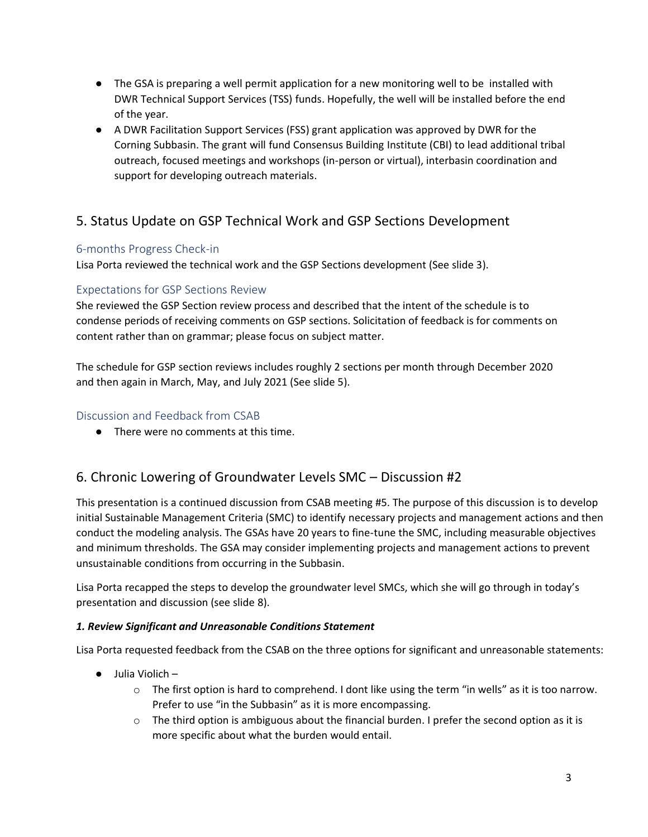- The GSA is preparing a well permit application for a new monitoring well to be installed with DWR Technical Support Services (TSS) funds. Hopefully, the well will be installed before the end of the year.
- A DWR Facilitation Support Services (FSS) grant application was approved by DWR for the Corning Subbasin. The grant will fund Consensus Building Institute (CBI) to lead additional tribal outreach, focused meetings and workshops (in-person or virtual), interbasin coordination and support for developing outreach materials.

# 5. Status Update on GSP Technical Work and GSP Sections Development

### 6-months Progress Check-in

Lisa Porta reviewed the technical work and the GSP Sections development (See slide 3).

#### Expectations for GSP Sections Review

She reviewed the GSP Section review process and described that the intent of the schedule is to condense periods of receiving comments on GSP sections. Solicitation of feedback is for comments on content rather than on grammar; please focus on subject matter.

The schedule for GSP section reviews includes roughly 2 sections per month through December 2020 and then again in March, May, and July 2021 (See slide 5).

#### Discussion and Feedback from CSAB

● There were no comments at this time.

# 6. Chronic Lowering of Groundwater Levels SMC – Discussion #2

This presentation is a continued discussion from CSAB meeting #5. The purpose of this discussion is to develop initial Sustainable Management Criteria (SMC) to identify necessary projects and management actions and then conduct the modeling analysis. The GSAs have 20 years to fine-tune the SMC, including measurable objectives and minimum thresholds. The GSA may consider implementing projects and management actions to prevent unsustainable conditions from occurring in the Subbasin.

Lisa Porta recapped the steps to develop the groundwater level SMCs, which she will go through in today's presentation and discussion (see slide 8).

#### *1. Review Significant and Unreasonable Conditions Statement*

Lisa Porta requested feedback from the CSAB on the three options for significant and unreasonable statements:

- Julia Violich
	- $\circ$  The first option is hard to comprehend. I dont like using the term "in wells" as it is too narrow. Prefer to use "in the Subbasin" as it is more encompassing.
	- $\circ$  The third option is ambiguous about the financial burden. I prefer the second option as it is more specific about what the burden would entail.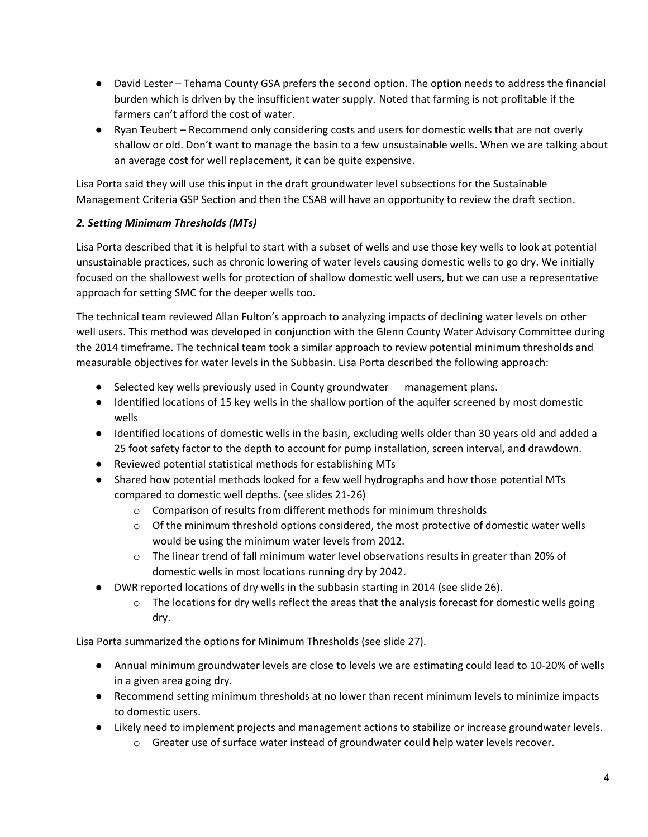- David Lester Tehama County GSA prefers the second option. The option needs to address the financial burden which is driven by the insufficient water supply. Noted that farming is not profitable if the farmers can't afford the cost of water.
- Ryan Teubert Recommend only considering costs and users for domestic wells that are not overly shallow or old. Don't want to manage the basin to a few unsustainable wells. When we are talking about an average cost for well replacement, it can be quite expensive.

Lisa Porta said they will use this input in the draft groundwater level subsections for the Sustainable Management Criteria GSP Section and then the CSAB will have an opportunity to review the draft section.

### *2. Setting Minimum Thresholds (MTs)*

Lisa Porta described that it is helpful to start with a subset of wells and use those key wells to look at potential unsustainable practices, such as chronic lowering of water levels causing domestic wells to go dry. We initially focused on the shallowest wells for protection of shallow domestic well users, but we can use a representative approach for setting SMC for the deeper wells too.

The technical team reviewed Allan Fulton's approach to analyzing impacts of declining water levels on other well users. This method was developed in conjunction with the Glenn County Water Advisory Committee during the 2014 timeframe. The technical team took a similar approach to review potential minimum thresholds and measurable objectives for water levels in the Subbasin. Lisa Porta described the following approach:

- Selected key wells previously used in County groundwater management plans.
- Identified locations of 15 key wells in the shallow portion of the aquifer screened by most domestic wells
- Identified locations of domestic wells in the basin, excluding wells older than 30 years old and added a 25 foot safety factor to the depth to account for pump installation, screen interval, and drawdown.
- Reviewed potential statistical methods for establishing MTs
- Shared how potential methods looked for a few well hydrographs and how those potential MTs compared to domestic well depths. (see slides 21-26)
	- o Comparison of results from different methods for minimum thresholds
	- $\circ$  Of the minimum threshold options considered, the most protective of domestic water wells would be using the minimum water levels from 2012.
	- o The linear trend of fall minimum water level observations results in greater than 20% of domestic wells in most locations running dry by 2042.
- DWR reported locations of dry wells in the subbasin starting in 2014 (see slide 26).
	- $\circ$  The locations for dry wells reflect the areas that the analysis forecast for domestic wells going dry.

Lisa Porta summarized the options for Minimum Thresholds (see slide 27).

- Annual minimum groundwater levels are close to levels we are estimating could lead to 10-20% of wells in a given area going dry.
- Recommend setting minimum thresholds at no lower than recent minimum levels to minimize impacts to domestic users.
- Likely need to implement projects and management actions to stabilize or increase groundwater levels.
	- o Greater use of surface water instead of groundwater could help water levels recover.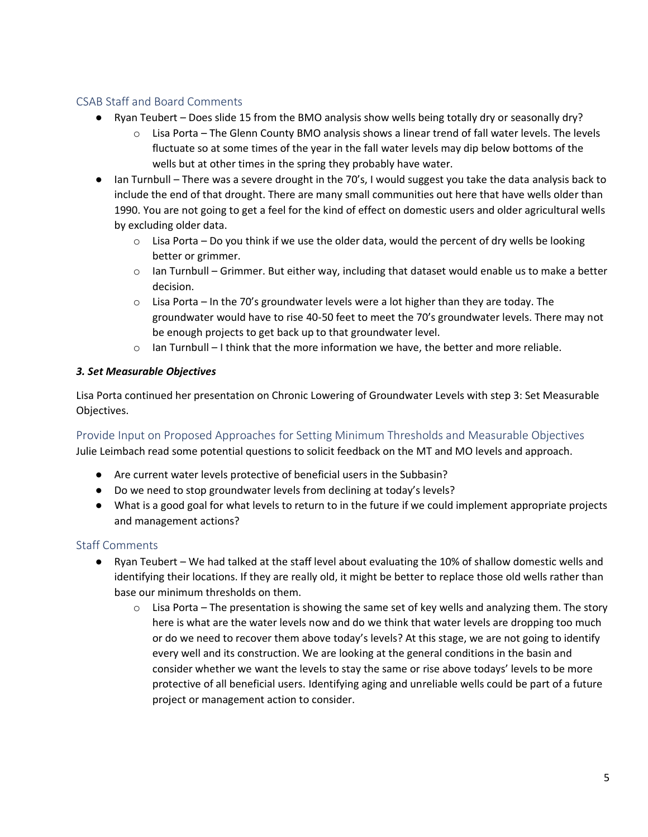## CSAB Staff and Board Comments

- Ryan Teubert Does slide 15 from the BMO analysis show wells being totally dry or seasonally dry?
	- $\circ$  Lisa Porta The Glenn County BMO analysis shows a linear trend of fall water levels. The levels fluctuate so at some times of the year in the fall water levels may dip below bottoms of the wells but at other times in the spring they probably have water.
- Ian Turnbull There was a severe drought in the 70's, I would suggest you take the data analysis back to include the end of that drought. There are many small communities out here that have wells older than 1990. You are not going to get a feel for the kind of effect on domestic users and older agricultural wells by excluding older data.
	- $\circ$  Lisa Porta Do you think if we use the older data, would the percent of dry wells be looking better or grimmer.
	- $\circ$  Ian Turnbull Grimmer. But either way, including that dataset would enable us to make a better decision.
	- $\circ$  Lisa Porta In the 70's groundwater levels were a lot higher than they are today. The groundwater would have to rise 40-50 feet to meet the 70's groundwater levels. There may not be enough projects to get back up to that groundwater level.
	- $\circ$  Ian Turnbull I think that the more information we have, the better and more reliable.

#### *3. Set Measurable Objectives*

Lisa Porta continued her presentation on Chronic Lowering of Groundwater Levels with step 3: Set Measurable Objectives.

Provide Input on Proposed Approaches for Setting Minimum Thresholds and Measurable Objectives Julie Leimbach read some potential questions to solicit feedback on the MT and MO levels and approach.

- Are current water levels protective of beneficial users in the Subbasin?
- Do we need to stop groundwater levels from declining at today's levels?
- What is a good goal for what levels to return to in the future if we could implement appropriate projects and management actions?

### Staff Comments

- Ryan Teubert We had talked at the staff level about evaluating the 10% of shallow domestic wells and identifying their locations. If they are really old, it might be better to replace those old wells rather than base our minimum thresholds on them.
	- $\circ$  Lisa Porta The presentation is showing the same set of key wells and analyzing them. The story here is what are the water levels now and do we think that water levels are dropping too much or do we need to recover them above today's levels? At this stage, we are not going to identify every well and its construction. We are looking at the general conditions in the basin and consider whether we want the levels to stay the same or rise above todays' levels to be more protective of all beneficial users. Identifying aging and unreliable wells could be part of a future project or management action to consider.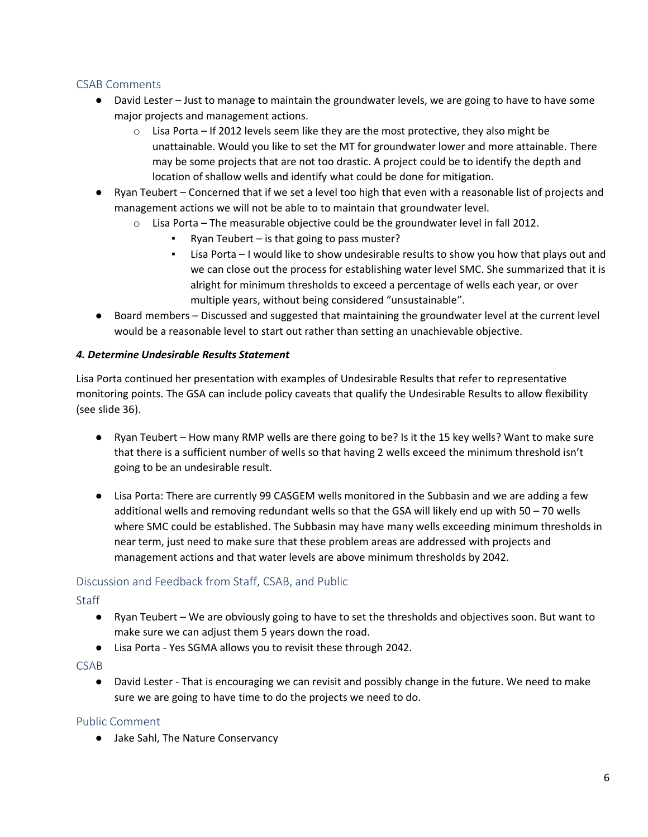#### CSAB Comments

- David Lester Just to manage to maintain the groundwater levels, we are going to have to have some major projects and management actions.
	- $\circ$  Lisa Porta If 2012 levels seem like they are the most protective, they also might be unattainable. Would you like to set the MT for groundwater lower and more attainable. There may be some projects that are not too drastic. A project could be to identify the depth and location of shallow wells and identify what could be done for mitigation.
- Ryan Teubert Concerned that if we set a level too high that even with a reasonable list of projects and management actions we will not be able to to maintain that groundwater level.
	- o Lisa Porta The measurable objective could be the groundwater level in fall 2012.
		- Ryan Teubert  $-$  is that going to pass muster?
		- Lisa Porta I would like to show undesirable results to show you how that plays out and we can close out the process for establishing water level SMC. She summarized that it is alright for minimum thresholds to exceed a percentage of wells each year, or over multiple years, without being considered "unsustainable".
- Board members Discussed and suggested that maintaining the groundwater level at the current level would be a reasonable level to start out rather than setting an unachievable objective.

#### *4. Determine Undesirable Results Statement*

Lisa Porta continued her presentation with examples of Undesirable Results that refer to representative monitoring points. The GSA can include policy caveats that qualify the Undesirable Results to allow flexibility (see slide 36).

- Ryan Teubert How many RMP wells are there going to be? Is it the 15 key wells? Want to make sure that there is a sufficient number of wells so that having 2 wells exceed the minimum threshold isn't going to be an undesirable result.
- Lisa Porta: There are currently 99 CASGEM wells monitored in the Subbasin and we are adding a few additional wells and removing redundant wells so that the GSA will likely end up with 50 – 70 wells where SMC could be established. The Subbasin may have many wells exceeding minimum thresholds in near term, just need to make sure that these problem areas are addressed with projects and management actions and that water levels are above minimum thresholds by 2042.

#### Discussion and Feedback from Staff, CSAB, and Public

#### **Staff**

- Ryan Teubert We are obviously going to have to set the thresholds and objectives soon. But want to make sure we can adjust them 5 years down the road.
- Lisa Porta Yes SGMA allows you to revisit these through 2042.

#### CSAB

● David Lester - That is encouraging we can revisit and possibly change in the future. We need to make sure we are going to have time to do the projects we need to do.

#### Public Comment

● Jake Sahl, The Nature Conservancy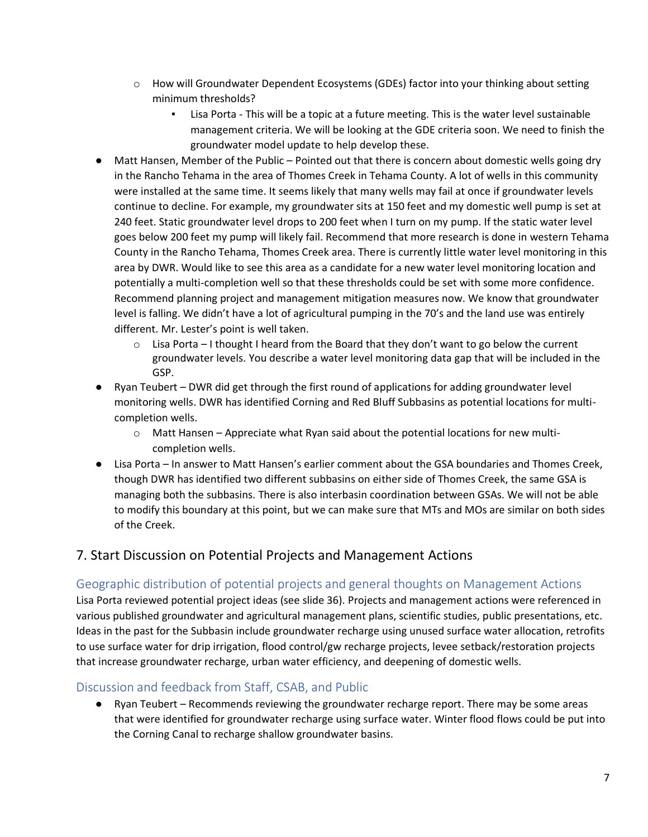- $\circ$  How will Groundwater Dependent Ecosystems (GDEs) factor into your thinking about setting minimum thresholds?
	- Lisa Porta This will be a topic at a future meeting. This is the water level sustainable management criteria. We will be looking at the GDE criteria soon. We need to finish the groundwater model update to help develop these.
- Matt Hansen, Member of the Public Pointed out that there is concern about domestic wells going dry in the Rancho Tehama in the area of Thomes Creek in Tehama County. A lot of wells in this community were installed at the same time. It seems likely that many wells may fail at once if groundwater levels continue to decline. For example, my groundwater sits at 150 feet and my domestic well pump is set at 240 feet. Static groundwater level drops to 200 feet when I turn on my pump. If the static water level goes below 200 feet my pump will likely fail. Recommend that more research is done in western Tehama County in the Rancho Tehama, Thomes Creek area. There is currently little water level monitoring in this area by DWR. Would like to see this area as a candidate for a new water level monitoring location and potentially a multi-completion well so that these thresholds could be set with some more confidence. Recommend planning project and management mitigation measures now. We know that groundwater level is falling. We didn't have a lot of agricultural pumping in the 70's and the land use was entirely different. Mr. Lester's point is well taken.
	- $\circ$  Lisa Porta I thought I heard from the Board that they don't want to go below the current groundwater levels. You describe a water level monitoring data gap that will be included in the GSP.
- Ryan Teubert DWR did get through the first round of applications for adding groundwater level monitoring wells. DWR has identified Corning and Red Bluff Subbasins as potential locations for multicompletion wells.
	- $\circ$  Matt Hansen Appreciate what Ryan said about the potential locations for new multicompletion wells.
- Lisa Porta In answer to Matt Hansen's earlier comment about the GSA boundaries and Thomes Creek, though DWR has identified two different subbasins on either side of Thomes Creek, the same GSA is managing both the subbasins. There is also interbasin coordination between GSAs. We will not be able to modify this boundary at this point, but we can make sure that MTs and MOs are similar on both sides of the Creek.

# 7. Start Discussion on Potential Projects and Management Actions

# Geographic distribution of potential projects and general thoughts on Management Actions

Lisa Porta reviewed potential project ideas (see slide 36). Projects and management actions were referenced in various published groundwater and agricultural management plans, scientific studies, public presentations, etc. Ideas in the past for the Subbasin include groundwater recharge using unused surface water allocation, retrofits to use surface water for drip irrigation, flood control/gw recharge projects, levee setback/restoration projects that increase groundwater recharge, urban water efficiency, and deepening of domestic wells.

### Discussion and feedback from Staff, CSAB, and Public

● Ryan Teubert – Recommends reviewing the groundwater recharge report. There may be some areas that were identified for groundwater recharge using surface water. Winter flood flows could be put into the Corning Canal to recharge shallow groundwater basins.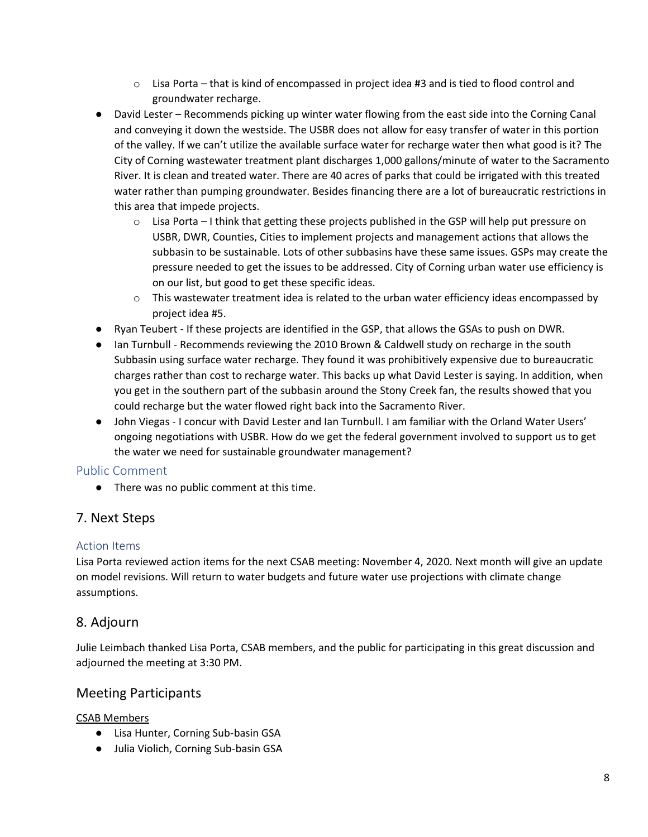- $\circ$  Lisa Porta that is kind of encompassed in project idea #3 and is tied to flood control and groundwater recharge.
- David Lester Recommends picking up winter water flowing from the east side into the Corning Canal and conveying it down the westside. The USBR does not allow for easy transfer of water in this portion of the valley. If we can't utilize the available surface water for recharge water then what good is it? The City of Corning wastewater treatment plant discharges 1,000 gallons/minute of water to the Sacramento River. It is clean and treated water. There are 40 acres of parks that could be irrigated with this treated water rather than pumping groundwater. Besides financing there are a lot of bureaucratic restrictions in this area that impede projects.
	- o Lisa Porta I think that getting these projects published in the GSP will help put pressure on USBR, DWR, Counties, Cities to implement projects and management actions that allows the subbasin to be sustainable. Lots of other subbasins have these same issues. GSPs may create the pressure needed to get the issues to be addressed. City of Corning urban water use efficiency is on our list, but good to get these specific ideas.
	- $\circ$  This wastewater treatment idea is related to the urban water efficiency ideas encompassed by project idea #5.
- Ryan Teubert If these projects are identified in the GSP, that allows the GSAs to push on DWR.
- Ian Turnbull Recommends reviewing the 2010 Brown & Caldwell study on recharge in the south Subbasin using surface water recharge. They found it was prohibitively expensive due to bureaucratic charges rather than cost to recharge water. This backs up what David Lester is saying. In addition, when you get in the southern part of the subbasin around the Stony Creek fan, the results showed that you could recharge but the water flowed right back into the Sacramento River.
- John Viegas I concur with David Lester and Ian Turnbull. I am familiar with the Orland Water Users' ongoing negotiations with USBR. How do we get the federal government involved to support us to get the water we need for sustainable groundwater management?

### Public Comment

● There was no public comment at this time.

# 7. Next Steps

### Action Items

Lisa Porta reviewed action items for the next CSAB meeting: November 4, 2020. Next month will give an update on model revisions. Will return to water budgets and future water use projections with climate change assumptions.

# 8. Adjourn

Julie Leimbach thanked Lisa Porta, CSAB members, and the public for participating in this great discussion and adjourned the meeting at 3:30 PM.

# Meeting Participants

CSAB Members

- Lisa Hunter, Corning Sub-basin GSA
- Julia Violich, Corning Sub-basin GSA